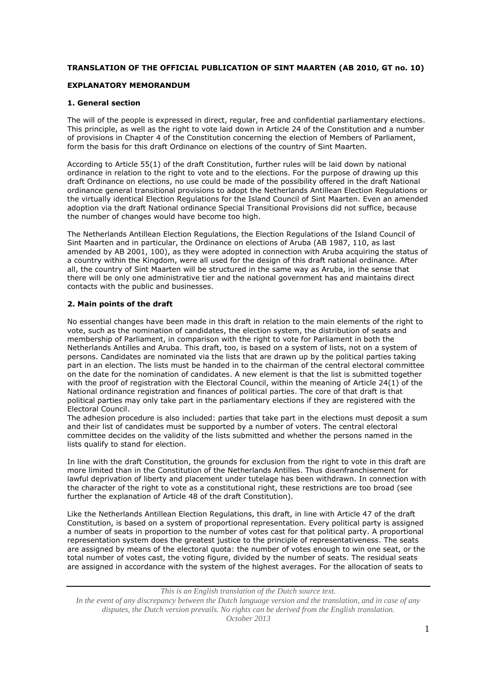# **TRANSLATION OF THE OFFICIAL PUBLICATION OF SINT MAARTEN (AB 2010, GT no. 10)**

## **EXPLANATORY MEMORANDUM**

## **1. General section**

The will of the people is expressed in direct, regular, free and confidential parliamentary elections. This principle, as well as the right to vote laid down in Article 24 of the Constitution and a number of provisions in Chapter 4 of the Constitution concerning the election of Members of Parliament, form the basis for this draft Ordinance on elections of the country of Sint Maarten.

According to Article 55(1) of the draft Constitution, further rules will be laid down by national ordinance in relation to the right to vote and to the elections. For the purpose of drawing up this draft Ordinance on elections, no use could be made of the possibility offered in the draft National ordinance general transitional provisions to adopt the Netherlands Antillean Election Regulations or the virtually identical Election Regulations for the Island Council of Sint Maarten. Even an amended adoption via the draft National ordinance Special Transitional Provisions did not suffice, because the number of changes would have become too high.

The Netherlands Antillean Election Regulations, the Election Regulations of the Island Council of Sint Maarten and in particular, the Ordinance on elections of Aruba (AB 1987, 110, as last amended by AB 2001, 100), as they were adopted in connection with Aruba acquiring the status of a country within the Kingdom, were all used for the design of this draft national ordinance. After all, the country of Sint Maarten will be structured in the same way as Aruba, in the sense that there will be only one administrative tier and the national government has and maintains direct contacts with the public and businesses.

## **2. Main points of the draft**

No essential changes have been made in this draft in relation to the main elements of the right to vote, such as the nomination of candidates, the election system, the distribution of seats and membership of Parliament, in comparison with the right to vote for Parliament in both the Netherlands Antilles and Aruba. This draft, too, is based on a system of lists, not on a system of persons. Candidates are nominated via the lists that are drawn up by the political parties taking part in an election. The lists must be handed in to the chairman of the central electoral committee on the date for the nomination of candidates. A new element is that the list is submitted together with the proof of registration with the Electoral Council, within the meaning of Article 24(1) of the National ordinance registration and finances of political parties. The core of that draft is that political parties may only take part in the parliamentary elections if they are registered with the Electoral Council.

The adhesion procedure is also included: parties that take part in the elections must deposit a sum and their list of candidates must be supported by a number of voters. The central electoral committee decides on the validity of the lists submitted and whether the persons named in the lists qualify to stand for election.

In line with the draft Constitution, the grounds for exclusion from the right to vote in this draft are more limited than in the Constitution of the Netherlands Antilles. Thus disenfranchisement for lawful deprivation of liberty and placement under tutelage has been withdrawn. In connection with the character of the right to vote as a constitutional right, these restrictions are too broad (see further the explanation of Article 48 of the draft Constitution).

Like the Netherlands Antillean Election Regulations, this draft, in line with Article 47 of the draft Constitution, is based on a system of proportional representation. Every political party is assigned a number of seats in proportion to the number of votes cast for that political party. A proportional representation system does the greatest justice to the principle of representativeness. The seats are assigned by means of the electoral quota: the number of votes enough to win one seat, or the total number of votes cast, the voting figure, divided by the number of seats. The residual seats are assigned in accordance with the system of the highest averages. For the allocation of seats to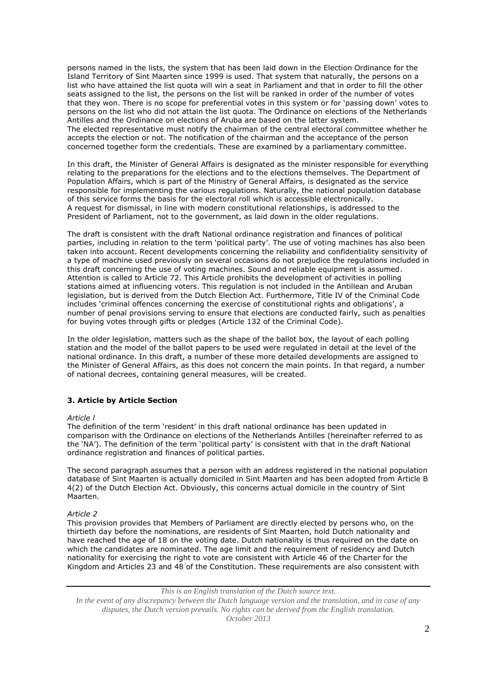persons named in the lists, the system that has been laid down in the Election Ordinance for the Island Territory of Sint Maarten since 1999 is used. That system that naturally, the persons on a list who have attained the list quota will win a seat in Parliament and that in order to fill the other seats assigned to the list, the persons on the list will be ranked in order of the number of votes that they won. There is no scope for preferential votes in this system or for 'passing down' votes to persons on the list who did not attain the list quota. The Ordinance on elections of the Netherlands Antilles and the Ordinance on elections of Aruba are based on the latter system. The elected representative must notify the chairman of the central electoral committee whether he accepts the election or not. The notification of the chairman and the acceptance of the person concerned together form the credentials. These are examined by a parliamentary committee.

In this draft, the Minister of General Affairs is designated as the minister responsible for everything relating to the preparations for the elections and to the elections themselves. The Department of Population Affairs, which is part of the Ministry of General Affairs, is designated as the service responsible for implementing the various regulations. Naturally, the national population database of this service forms the basis for the electoral roll which is accessible electronically. A request for dismissal, in line with modern constitutional relationships, is addressed to the President of Parliament, not to the government, as laid down in the older regulations.

The draft is consistent with the draft National ordinance registration and finances of political parties, including in relation to the term 'political party'. The use of voting machines has also been taken into account. Recent developments concerning the reliability and confidentiality sensitivity of a type of machine used previously on several occasions do not prejudice the regulations included in this draft concerning the use of voting machines. Sound and reliable equipment is assumed. Attention is called to Article 72. This Article prohibits the development of activities in polling stations aimed at influencing voters. This regulation is not included in the Antillean and Aruban legislation, but is derived from the Dutch Election Act. Furthermore, Title IV of the Criminal Code includes 'criminal offences concerning the exercise of constitutional rights and obligations', a number of penal provisions serving to ensure that elections are conducted fairly, such as penalties for buying votes through gifts or pledges (Article 132 of the Criminal Code).

In the older legislation, matters such as the shape of the ballot box, the layout of each polling station and the model of the ballot papers to be used were regulated in detail at the level of the national ordinance. In this draft, a number of these more detailed developments are assigned to the Minister of General Affairs, as this does not concern the main points. In that regard, a number of national decrees, containing general measures, will be created.

## **3. Article by Article Section**

#### *Article l*

The definition of the term 'resident' in this draft national ordinance has been updated in comparison with the Ordinance on elections of the Netherlands Antilles (hereinafter referred to as the 'NA'). The definition of the term 'political party' is consistent with that in the draft National ordinance registration and finances of political parties.

The second paragraph assumes that a person with an address registered in the national population database of Sint Maarten is actually domiciled in Sint Maarten and has been adopted from Article B 4(2) of the Dutch Election Act. Obviously, this concerns actual domicile in the country of Sint Maarten.

#### *Article 2*

This provision provides that Members of Parliament are directly elected by persons who, on the thirtieth day before the nominations, are residents of Sint Maarten, hold Dutch nationality and have reached the age of 18 on the voting date. Dutch nationality is thus required on the date on which the candidates are nominated. The age limit and the requirement of residency and Dutch nationality for exercising the right to vote are consistent with Article 46 of the Charter for the Kingdom and Articles 23 and 48 of the Constitution. These requirements are also consistent with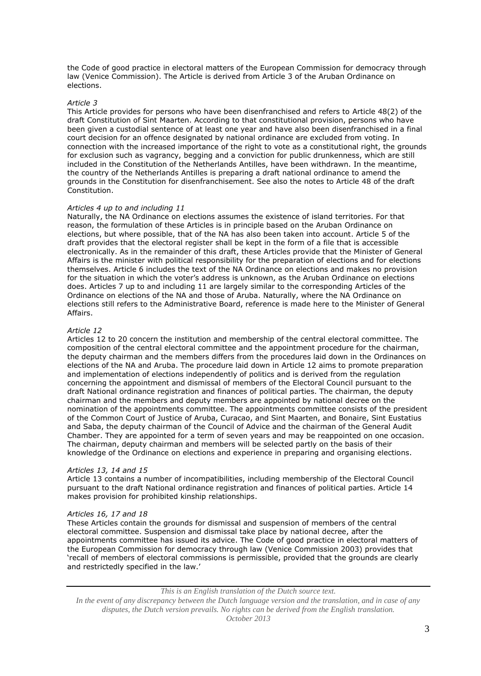the Code of good practice in electoral matters of the European Commission for democracy through law (Venice Commission). The Article is derived from Article 3 of the Aruban Ordinance on elections.

### *Article 3*

This Article provides for persons who have been disenfranchised and refers to Article 48(2) of the draft Constitution of Sint Maarten. According to that constitutional provision, persons who have been given a custodial sentence of at least one year and have also been disenfranchised in a final court decision for an offence designated by national ordinance are excluded from voting. In connection with the increased importance of the right to vote as a constitutional right, the grounds for exclusion such as vagrancy, begging and a conviction for public drunkenness, which are still included in the Constitution of the Netherlands Antilles, have been withdrawn. In the meantime, the country of the Netherlands Antilles is preparing a draft national ordinance to amend the grounds in the Constitution for disenfranchisement. See also the notes to Article 48 of the draft Constitution.

### *Articles 4 up to and including 11*

Naturally, the NA Ordinance on elections assumes the existence of island territories. For that reason, the formulation of these Articles is in principle based on the Aruban Ordinance on elections, but where possible, that of the NA has also been taken into account. Article 5 of the draft provides that the electoral register shall be kept in the form of a file that is accessible electronically. As in the remainder of this draft, these Articles provide that the Minister of General Affairs is the minister with political responsibility for the preparation of elections and for elections themselves. Article 6 includes the text of the NA Ordinance on elections and makes no provision for the situation in which the voter's address is unknown, as the Aruban Ordinance on elections does. Articles 7 up to and including 11 are largely similar to the corresponding Articles of the Ordinance on elections of the NA and those of Aruba. Naturally, where the NA Ordinance on elections still refers to the Administrative Board, reference is made here to the Minister of General Affairs.

### *Article 12*

Articles 12 to 20 concern the institution and membership of the central electoral committee. The composition of the central electoral committee and the appointment procedure for the chairman, the deputy chairman and the members differs from the procedures laid down in the Ordinances on elections of the NA and Aruba. The procedure laid down in Article 12 aims to promote preparation and implementation of elections independently of politics and is derived from the regulation concerning the appointment and dismissal of members of the Electoral Council pursuant to the draft National ordinance registration and finances of political parties. The chairman, the deputy chairman and the members and deputy members are appointed by national decree on the nomination of the appointments committee. The appointments committee consists of the president of the Common Court of Justice of Aruba, Curacao, and Sint Maarten, and Bonaire, Sint Eustatius and Saba, the deputy chairman of the Council of Advice and the chairman of the General Audit Chamber. They are appointed for a term of seven years and may be reappointed on one occasion. The chairman, deputy chairman and members will be selected partly on the basis of their knowledge of the Ordinance on elections and experience in preparing and organising elections.

#### *Articles 13, 14 and 15*

Article 13 contains a number of incompatibilities, including membership of the Electoral Council pursuant to the draft National ordinance registration and finances of political parties. Article 14 makes provision for prohibited kinship relationships.

#### *Articles 16, 17 and 18*

These Articles contain the grounds for dismissal and suspension of members of the central electoral committee. Suspension and dismissal take place by national decree, after the appointments committee has issued its advice. The Code of good practice in electoral matters of the European Commission for democracy through law (Venice Commission 2003) provides that 'recall of members of electoral commissions is permissible, provided that the grounds are clearly and restrictedly specified in the law.'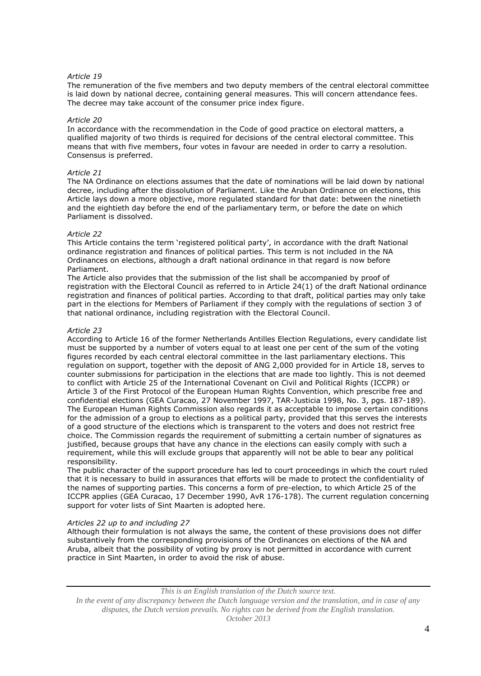## *Article 19*

The remuneration of the five members and two deputy members of the central electoral committee is laid down by national decree, containing general measures. This will concern attendance fees. The decree may take account of the consumer price index figure.

### *Article 20*

In accordance with the recommendation in the Code of good practice on electoral matters, a qualified majority of two thirds is required for decisions of the central electoral committee. This means that with five members, four votes in favour are needed in order to carry a resolution. Consensus is preferred.

## *Article 21*

The NA Ordinance on elections assumes that the date of nominations will be laid down by national decree, including after the dissolution of Parliament. Like the Aruban Ordinance on elections, this Article lays down a more objective, more regulated standard for that date: between the ninetieth and the eightieth day before the end of the parliamentary term, or before the date on which Parliament is dissolved.

## *Article 22*

This Article contains the term 'registered political party', in accordance with the draft National ordinance registration and finances of political parties. This term is not included in the NA Ordinances on elections, although a draft national ordinance in that regard is now before Parliament.

The Article also provides that the submission of the list shall be accompanied by proof of registration with the Electoral Council as referred to in Article 24(1) of the draft National ordinance registration and finances of political parties. According to that draft, political parties may only take part in the elections for Members of Parliament if they comply with the regulations of section 3 of that national ordinance, including registration with the Electoral Council.

### *Article 23*

According to Article 16 of the former Netherlands Antilles Election Regulations, every candidate list must be supported by a number of voters equal to at least one per cent of the sum of the voting figures recorded by each central electoral committee in the last parliamentary elections. This regulation on support, together with the deposit of ANG 2,000 provided for in Article 18, serves to counter submissions for participation in the elections that are made too lightly. This is not deemed to conflict with Article 25 of the International Covenant on Civil and Political Rights (ICCPR) or Article 3 of the First Protocol of the European Human Rights Convention, which prescribe free and confidential elections (GEA Curacao, 27 November 1997, TAR-Justicia 1998, No. 3, pgs. 187-189). The European Human Rights Commission also regards it as acceptable to impose certain conditions for the admission of a group to elections as a political party, provided that this serves the interests of a good structure of the elections which is transparent to the voters and does not restrict free choice. The Commission regards the requirement of submitting a certain number of signatures as justified, because groups that have any chance in the elections can easily comply with such a requirement, while this will exclude groups that apparently will not be able to bear any political responsibility.

The public character of the support procedure has led to court proceedings in which the court ruled that it is necessary to build in assurances that efforts will be made to protect the confidentiality of the names of supporting parties. This concerns a form of pre-election, to which Article 25 of the ICCPR applies (GEA Curacao, 17 December 1990, AvR 176-178). The current regulation concerning support for voter lists of Sint Maarten is adopted here.

## *Articles 22 up to and including 27*

Although their formulation is not always the same, the content of these provisions does not differ substantively from the corresponding provisions of the Ordinances on elections of the NA and Aruba, albeit that the possibility of voting by proxy is not permitted in accordance with current practice in Sint Maarten, in order to avoid the risk of abuse.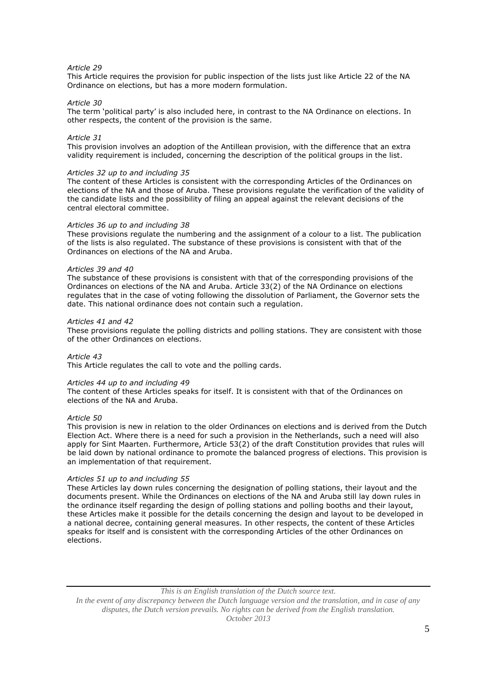## *Article 29*

This Article requires the provision for public inspection of the lists just like Article 22 of the NA Ordinance on elections, but has a more modern formulation.

### *Article 30*

The term 'political party' is also included here, in contrast to the NA Ordinance on elections. In other respects, the content of the provision is the same.

### *Article 31*

This provision involves an adoption of the Antillean provision, with the difference that an extra validity requirement is included, concerning the description of the political groups in the list.

#### *Articles 32 up to and including 35*

The content of these Articles is consistent with the corresponding Articles of the Ordinances on elections of the NA and those of Aruba. These provisions regulate the verification of the validity of the candidate lists and the possibility of filing an appeal against the relevant decisions of the central electoral committee.

#### *Articles 36 up to and including 38*

These provisions regulate the numbering and the assignment of a colour to a list. The publication of the lists is also regulated. The substance of these provisions is consistent with that of the Ordinances on elections of the NA and Aruba.

### *Articles 39 and 40*

The substance of these provisions is consistent with that of the corresponding provisions of the Ordinances on elections of the NA and Aruba. Article 33(2) of the NA Ordinance on elections regulates that in the case of voting following the dissolution of Parliament, the Governor sets the date. This national ordinance does not contain such a regulation.

### *Articles 41 and 42*

These provisions regulate the polling districts and polling stations. They are consistent with those of the other Ordinances on elections.

### *Article 43*

This Article regulates the call to vote and the polling cards.

#### *Articles 44 up to and including 49*

The content of these Articles speaks for itself. It is consistent with that of the Ordinances on elections of the NA and Aruba.

### *Article 50*

This provision is new in relation to the older Ordinances on elections and is derived from the Dutch Election Act. Where there is a need for such a provision in the Netherlands, such a need will also apply for Sint Maarten. Furthermore, Article 53(2) of the draft Constitution provides that rules will be laid down by national ordinance to promote the balanced progress of elections. This provision is an implementation of that requirement.

## *Articles 51 up to and including 55*

These Articles lay down rules concerning the designation of polling stations, their layout and the documents present. While the Ordinances on elections of the NA and Aruba still lay down rules in the ordinance itself regarding the design of polling stations and polling booths and their layout, these Articles make it possible for the details concerning the design and layout to be developed in a national decree, containing general measures. In other respects, the content of these Articles speaks for itself and is consistent with the corresponding Articles of the other Ordinances on elections.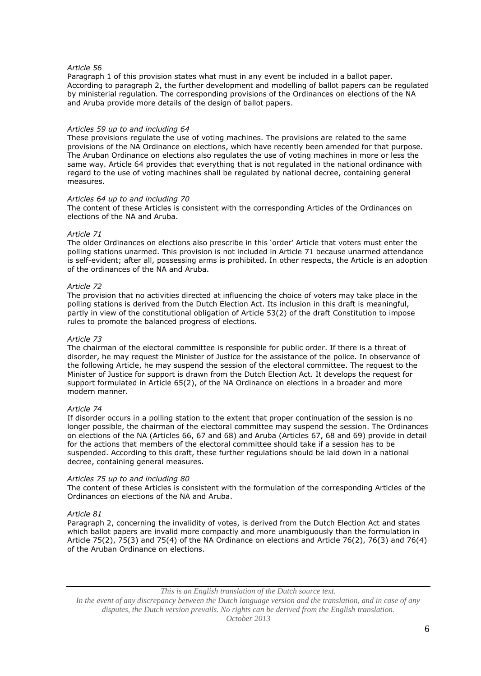## *Article 56*

Paragraph 1 of this provision states what must in any event be included in a ballot paper. According to paragraph 2, the further development and modelling of ballot papers can be regulated by ministerial regulation. The corresponding provisions of the Ordinances on elections of the NA and Aruba provide more details of the design of ballot papers.

### *Articles 59 up to and including 64*

These provisions regulate the use of voting machines. The provisions are related to the same provisions of the NA Ordinance on elections, which have recently been amended for that purpose. The Aruban Ordinance on elections also regulates the use of voting machines in more or less the same way. Article 64 provides that everything that is not regulated in the national ordinance with regard to the use of voting machines shall be regulated by national decree, containing general measures.

### *Articles 64 up to and including 70*

The content of these Articles is consistent with the corresponding Articles of the Ordinances on elections of the NA and Aruba.

### *Article 71*

The older Ordinances on elections also prescribe in this 'order' Article that voters must enter the polling stations unarmed. This provision is not included in Article 71 because unarmed attendance is self-evident; after all, possessing arms is prohibited. In other respects, the Article is an adoption of the ordinances of the NA and Aruba.

### *Article 72*

The provision that no activities directed at influencing the choice of voters may take place in the polling stations is derived from the Dutch Election Act. Its inclusion in this draft is meaningful, partly in view of the constitutional obligation of Article 53(2) of the draft Constitution to impose rules to promote the balanced progress of elections.

## *Article 73*

The chairman of the electoral committee is responsible for public order. If there is a threat of disorder, he may request the Minister of Justice for the assistance of the police. In observance of the following Article, he may suspend the session of the electoral committee. The request to the Minister of Justice for support is drawn from the Dutch Election Act. It develops the request for support formulated in Article 65(2), of the NA Ordinance on elections in a broader and more modern manner.

#### *Article 74*

If disorder occurs in a polling station to the extent that proper continuation of the session is no longer possible, the chairman of the electoral committee may suspend the session. The Ordinances on elections of the NA (Articles 66, 67 and 68) and Aruba (Articles 67, 68 and 69) provide in detail for the actions that members of the electoral committee should take if a session has to be suspended. According to this draft, these further regulations should be laid down in a national decree, containing general measures.

#### *Articles 75 up to and including 80*

The content of these Articles is consistent with the formulation of the corresponding Articles of the Ordinances on elections of the NA and Aruba.

## *Article 81*

Paragraph 2, concerning the invalidity of votes, is derived from the Dutch Election Act and states which ballot papers are invalid more compactly and more unambiguously than the formulation in Article 75(2), 75(3) and 75(4) of the NA Ordinance on elections and Article 76(2), 76(3) and 76(4) of the Aruban Ordinance on elections.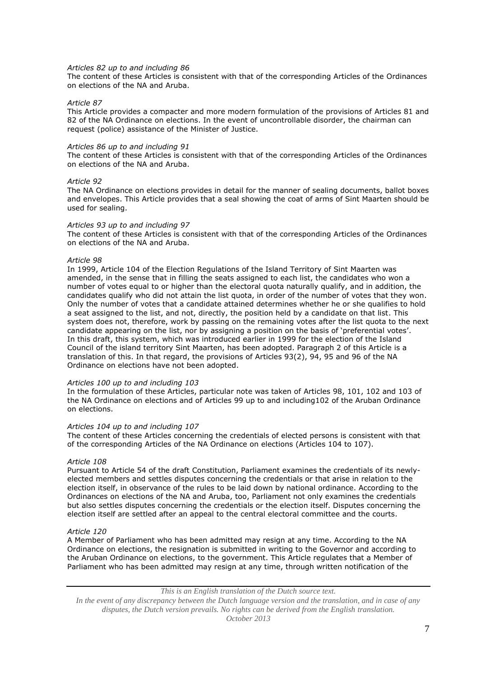#### *Articles 82 up to and including 86*

The content of these Articles is consistent with that of the corresponding Articles of the Ordinances on elections of the NA and Aruba.

### *Article 87*

This Article provides a compacter and more modern formulation of the provisions of Articles 81 and 82 of the NA Ordinance on elections. In the event of uncontrollable disorder, the chairman can request (police) assistance of the Minister of Justice.

#### *Articles 86 up to and including 91*

The content of these Articles is consistent with that of the corresponding Articles of the Ordinances on elections of the NA and Aruba.

### *Article 92*

The NA Ordinance on elections provides in detail for the manner of sealing documents, ballot boxes and envelopes. This Article provides that a seal showing the coat of arms of Sint Maarten should be used for sealing.

#### *Articles 93 up to and including 97*

The content of these Articles is consistent with that of the corresponding Articles of the Ordinances on elections of the NA and Aruba.

## *Article 98*

In 1999, Article 104 of the Election Regulations of the Island Territory of Sint Maarten was amended, in the sense that in filling the seats assigned to each list, the candidates who won a number of votes equal to or higher than the electoral quota naturally qualify, and in addition, the candidates qualify who did not attain the list quota, in order of the number of votes that they won. Only the number of votes that a candidate attained determines whether he or she qualifies to hold a seat assigned to the list, and not, directly, the position held by a candidate on that list. This system does not, therefore, work by passing on the remaining votes after the list quota to the next candidate appearing on the list, nor by assigning a position on the basis of 'preferential votes'. In this draft, this system, which was introduced earlier in 1999 for the election of the Island Council of the island territory Sint Maarten, has been adopted. Paragraph 2 of this Article is a translation of this. In that regard, the provisions of Articles 93(2), 94, 95 and 96 of the NA Ordinance on elections have not been adopted.

### *Articles 100 up to and including 103*

In the formulation of these Articles, particular note was taken of Articles 98, 101, 102 and 103 of the NA Ordinance on elections and of Articles 99 up to and including102 of the Aruban Ordinance on elections.

#### *Articles 104 up to and including 107*

The content of these Articles concerning the credentials of elected persons is consistent with that of the corresponding Articles of the NA Ordinance on elections (Articles 104 to 107).

#### *Article 108*

Pursuant to Article 54 of the draft Constitution, Parliament examines the credentials of its newlyelected members and settles disputes concerning the credentials or that arise in relation to the election itself, in observance of the rules to be laid down by national ordinance. According to the Ordinances on elections of the NA and Aruba, too, Parliament not only examines the credentials but also settles disputes concerning the credentials or the election itself. Disputes concerning the election itself are settled after an appeal to the central electoral committee and the courts.

## *Article 120*

A Member of Parliament who has been admitted may resign at any time. According to the NA Ordinance on elections, the resignation is submitted in writing to the Governor and according to the Aruban Ordinance on elections, to the government. This Article regulates that a Member of Parliament who has been admitted may resign at any time, through written notification of the